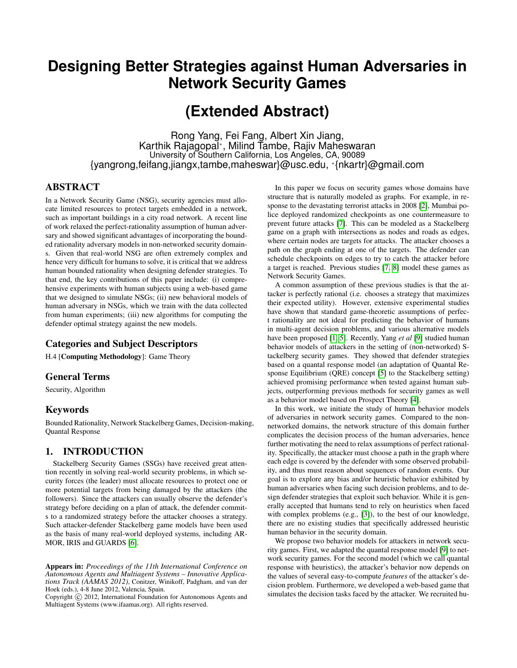## **Designing Better Strategies against Human Adversaries in Network Security Games**

# **(Extended Abstract)**

Rong Yang, Fei Fang, Albert Xin Jiang, Karthik Rajagopal<sup>∗</sup> , Milind Tambe, Rajiv Maheswaran University of Southern California, Los Angeles, CA, 90089 {yangrong,feifang,jiangx,tambe,maheswar}@usc.edu, <sup>∗</sup> {nkartr}@gmail.com

## ABSTRACT

In a Network Security Game (NSG), security agencies must allocate limited resources to protect targets embedded in a network, such as important buildings in a city road network. A recent line of work relaxed the perfect-rationality assumption of human adversary and showed significant advantages of incorporating the bounded rationality adversary models in non-networked security domains. Given that real-world NSG are often extremely complex and hence very difficult for humans to solve, it is critical that we address human bounded rationality when designing defender strategies. To that end, the key contributions of this paper include: (i) comprehensive experiments with human subjects using a web-based game that we designed to simulate NSGs; (ii) new behavioral models of human adversary in NSGs, which we train with the data collected from human experiments; (iii) new algorithms for computing the defender optimal strategy against the new models.

## Categories and Subject Descriptors

H.4 [Computing Methodology]: Game Theory

## General Terms

Security, Algorithm

## Keywords

Bounded Rationality, Network Stackelberg Games, Decision-making, Quantal Response

## 1. INTRODUCTION

Stackelberg Security Games (SSGs) have received great attention recently in solving real-world security problems, in which security forces (the leader) must allocate resources to protect one or more potential targets from being damaged by the attackers (the followers). Since the attackers can usually observe the defender's strategy before deciding on a plan of attack, the defender commits to a randomized strategy before the attacker chooses a strategy. Such attacker-defender Stackelberg game models have been used as the basis of many real-world deployed systems, including AR-MOR, IRIS and GUARDS [\[6\]](#page-1-0).

Copyright (C) 2012, International Foundation for Autonomous Agents and Multiagent Systems (www.ifaamas.org). All rights reserved.

In this paper we focus on security games whose domains have structure that is naturally modeled as graphs. For example, in response to the devastating terrorist attacks in 2008 [\[2\]](#page-1-1), Mumbai police deployed randomized checkpoints as one countermeasure to prevent future attacks [\[7\]](#page-1-2). This can be modeled as a Stackelberg game on a graph with intersections as nodes and roads as edges, where certain nodes are targets for attacks. The attacker chooses a path on the graph ending at one of the targets. The defender can schedule checkpoints on edges to try to catch the attacker before a target is reached. Previous studies [\[7,](#page-1-2) [8\]](#page-1-3) model these games as Network Security Games.

A common assumption of these previous studies is that the attacker is perfectly rational (i.e. chooses a strategy that maximizes their expected utility). However, extensive experimental studies have shown that standard game-theoretic assumptions of perfect rationality are not ideal for predicting the behavior of humans in multi-agent decision problems, and various alternative models have been proposed [\[1,](#page-1-4) [5\]](#page-1-5). Recently, Yang *et al* [\[9\]](#page-1-6) studied human behavior models of attackers in the setting of (non-networked) Stackelberg security games. They showed that defender strategies based on a quantal response model (an adaptation of Quantal Response Equilibrium (QRE) concept [\[5\]](#page-1-5) to the Stackelberg setting) achieved promising performance when tested against human subjects, outperforming previous methods for security games as well as a behavior model based on Prospect Theory [\[4\]](#page-1-7).

In this work, we initiate the study of human behavior models of adversaries in network security games. Compared to the nonnetworked domains, the network structure of this domain further complicates the decision process of the human adversaries, hence further motivating the need to relax assumptions of perfect rationality. Specifically, the attacker must choose a path in the graph where each edge is covered by the defender with some observed probability, and thus must reason about sequences of random events. Our goal is to explore any bias and/or heuristic behavior exhibited by human adversaries when facing such decision problems, and to design defender strategies that exploit such behavior. While it is generally accepted that humans tend to rely on heuristics when faced with complex problems (e.g., [\[3\]](#page-1-8)), to the best of our knowledge, there are no existing studies that specifically addressed heuristic human behavior in the security domain.

We propose two behavior models for attackers in network security games. First, we adapted the quantal response model [\[9\]](#page-1-6) to network security games. For the second model (which we call quantal response with heuristics), the attacker's behavior now depends on the values of several easy-to-compute *features* of the attacker's decision problem. Furthermore, we developed a web-based game that simulates the decision tasks faced by the attacker. We recruited hu-

Appears in: *Proceedings of the 11th International Conference on Autonomous Agents and Multiagent Systems – Innovative Applications Track (AAMAS 2012)*, Conitzer, Winikoff, Padgham, and van der Hoek (eds.), 4-8 June 2012, Valencia, Spain.